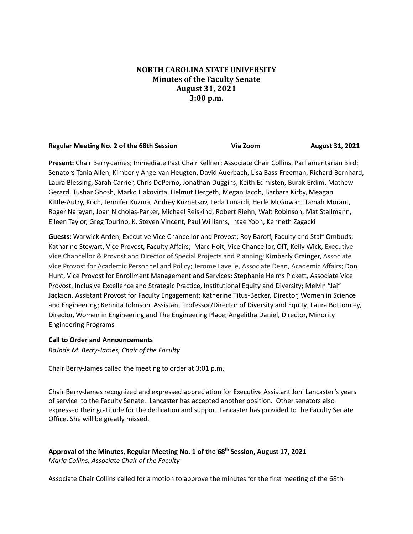# **NORTH CAROLINA STATE UNIVERSITY Minutes of the Faculty Senate August 31, 2021 3:00 p.m.**

| <b>Regular Meeting No. 2 of the 68th Session</b> | Via Zoom | <b>August 31, 2021</b> |
|--------------------------------------------------|----------|------------------------|
|--------------------------------------------------|----------|------------------------|

**Present:** Chair Berry-James; Immediate Past Chair Kellner; Associate Chair Collins, Parliamentarian Bird; Senators Tania Allen, Kimberly Ange-van Heugten, David Auerbach, Lisa Bass-Freeman, Richard Bernhard, Laura Blessing, Sarah Carrier, Chris DePerno, Jonathan Duggins, Keith Edmisten, Burak Erdim, Mathew Gerard, Tushar Ghosh, Marko Hakovirta, Helmut Hergeth, Megan Jacob, Barbara Kirby, Meagan Kittle-Autry, Koch, Jennifer Kuzma, Andrey Kuznetsov, Leda Lunardi, Herle McGowan, Tamah Morant, Roger Narayan, Joan Nicholas-Parker, Michael Reiskind, Robert Riehn, Walt Robinson, Mat Stallmann, Eileen Taylor, Greg Tourino, K. Steven Vincent, Paul Williams, Intae Yoon, Kenneth Zagacki

**Guests:** Warwick Arden, Executive Vice Chancellor and Provost; Roy Baroff, Faculty and Staff Ombuds; Katharine Stewart, Vice Provost, Faculty Affairs; Marc Hoit, Vice Chancellor, OIT; Kelly Wick, Executive Vice Chancellor & Provost and Director of Special Projects and Planning; Kimberly Grainger, Associate Vice Provost for Academic Personnel and Policy; Jerome Lavelle, Associate Dean, Academic Affairs; Don Hunt, Vice Provost for Enrollment Management and Services; Stephanie Helms Pickett, Associate Vice Provost, Inclusive Excellence and Strategic Practice, Institutional Equity and Diversity; Melvin "Jai" Jackson, Assistant Provost for Faculty Engagement; Katherine Titus-Becker, Director, Women in Science and Engineering; Kennita Johnson, Assistant Professor/Director of Diversity and Equity; Laura Bottomley, Director, Women in Engineering and The Engineering Place; Angelitha Daniel, Director, Minority Engineering Programs

# **Call to Order and Announcements**

*RaJade M. Berry-James, Chair of the Faculty*

Chair Berry-James called the meeting to order at 3:01 p.m.

Chair Berry-James recognized and expressed appreciation for Executive Assistant Joni Lancaster's years of service to the Faculty Senate. Lancaster has accepted another position. Other senators also expressed their gratitude for the dedication and support Lancaster has provided to the Faculty Senate Office. She will be greatly missed.

**Approval of the Minutes, Regular Meeting No. 1 of the 68 th Session, August 17, 2021** *Maria Collins, Associate Chair of the Faculty*

Associate Chair Collins called for a motion to approve the minutes for the first meeting of the 68th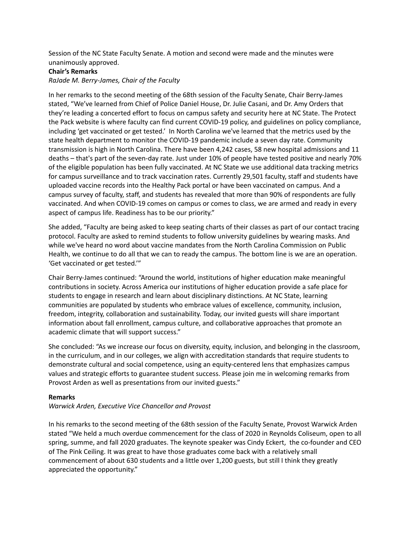Session of the NC State Faculty Senate. A motion and second were made and the minutes were unanimously approved.

### **Chair's Remarks**

*RaJade M. Berry-James, Chair of the Faculty*

In her remarks to the second meeting of the 68th session of the Faculty Senate, Chair Berry-James stated, "We've learned from Chief of Police Daniel House, Dr. Julie Casani, and Dr. Amy Orders that they're leading a concerted effort to focus on campus safety and security here at NC State. The Protect the Pack website is where faculty can find current COVID-19 policy, and guidelines on policy compliance, including 'get vaccinated or get tested.' In North Carolina we've learned that the metrics used by the state health department to monitor the COVID-19 pandemic include a seven day rate. Community transmission is high in North Carolina. There have been 4,242 cases, 58 new hospital admissions and 11 deaths – that's part of the seven-day rate. Just under 10% of people have tested positive and nearly 70% of the eligible population has been fully vaccinated. At NC State we use additional data tracking metrics for campus surveillance and to track vaccination rates. Currently 29,501 faculty, staff and students have uploaded vaccine records into the Healthy Pack portal or have been vaccinated on campus. And a campus survey of faculty, staff, and students has revealed that more than 90% of respondents are fully vaccinated. And when COVID-19 comes on campus or comes to class, we are armed and ready in every aspect of campus life. Readiness has to be our priority."

She added, "Faculty are being asked to keep seating charts of their classes as part of our contact tracing protocol. Faculty are asked to remind students to follow university guidelines by wearing masks. And while we've heard no word about vaccine mandates from the North Carolina Commission on Public Health, we continue to do all that we can to ready the campus. The bottom line is we are an operation. 'Get vaccinated or get tested.'"

Chair Berry-James continued: "Around the world, institutions of higher education make meaningful contributions in society. Across America our institutions of higher education provide a safe place for students to engage in research and learn about disciplinary distinctions. At NC State, learning communities are populated by students who embrace values of excellence, community, inclusion, freedom, integrity, collaboration and sustainability. Today, our invited guests will share important information about fall enrollment, campus culture, and collaborative approaches that promote an academic climate that will support success."

She concluded: "As we increase our focus on diversity, equity, inclusion, and belonging in the classroom, in the curriculum, and in our colleges, we align with accreditation standards that require students to demonstrate cultural and social competence, using an equity-centered lens that emphasizes campus values and strategic efforts to guarantee student success. Please join me in welcoming remarks from Provost Arden as well as presentations from our invited guests."

# **Remarks**

# *Warwick Arden, Executive Vice Chancellor and Provost*

In his remarks to the second meeting of the 68th session of the Faculty Senate, Provost Warwick Arden stated "We held a much overdue commencement for the class of 2020 in Reynolds Coliseum, open to all spring, summe, and fall 2020 graduates. The keynote speaker was Cindy Eckert, the co-founder and CEO of The Pink Ceiling. It was great to have those graduates come back with a relatively small commencement of about 630 students and a little over 1,200 guests, but still I think they greatly appreciated the opportunity."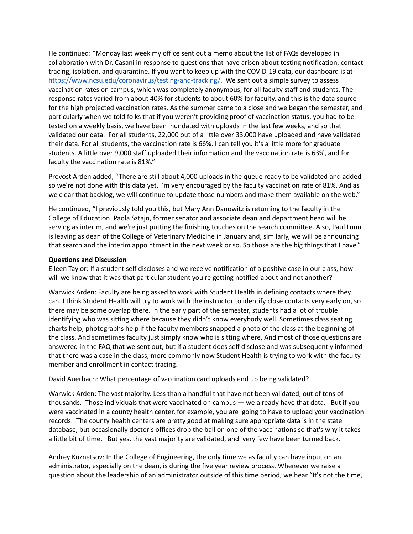He continued: "Monday last week my office sent out a memo about the list of FAQs developed in collaboration with Dr. Casani in response to questions that have arisen about testing notification, contact tracing, isolation, and quarantine. If you want to keep up with the COVID-19 data, our dashboard is at [https://www.ncsu.edu/coronavirus/testing-and-tracking/.](https://www.ncsu.edu/coronavirus/testing-and-tracking/) We sent out a simple survey to assess vaccination rates on campus, which was completely anonymous, for all faculty staff and students. The response rates varied from about 40% for students to about 60% for faculty, and this is the data source for the high projected vaccination rates. As the summer came to a close and we began the semester, and particularly when we told folks that if you weren't providing proof of vaccination status, you had to be tested on a weekly basis, we have been inundated with uploads in the last few weeks, and so that validated our data. For all students, 22,000 out of a little over 33,000 have uploaded and have validated their data. For all students, the vaccination rate is 66%. I can tell you it's a little more for graduate students. A little over 9,000 staff uploaded their information and the vaccination rate is 63%, and for faculty the vaccination rate is 81%."

Provost Arden added, "There are still about 4,000 uploads in the queue ready to be validated and added so we're not done with this data yet. I'm very encouraged by the faculty vaccination rate of 81%. And as we clear that backlog, we will continue to update those numbers and make them available on the web."

He continued, "I previously told you this, but Mary Ann Danowitz is returning to the faculty in the College of Education. Paola Sztajn, former senator and associate dean and department head will be serving as interim, and we're just putting the finishing touches on the search committee. Also, Paul Lunn is leaving as dean of the College of Veterinary Medicine in January and, similarly, we will be announcing that search and the interim appointment in the next week or so. So those are the big things that I have."

### **Questions and Discussion**

Eileen Taylor: If a student self discloses and we receive notification of a positive case in our class, how will we know that it was that particular student you're getting notified about and not another?

Warwick Arden: Faculty are being asked to work with Student Health in defining contacts where they can. I think Student Health will try to work with the instructor to identify close contacts very early on, so there may be some overlap there. In the early part of the semester, students had a lot of trouble identifying who was sitting where because they didn't know everybody well. Sometimes class seating charts help; photographs help if the faculty members snapped a photo of the class at the beginning of the class. And sometimes faculty just simply know who is sitting where. And most of those questions are answered in the FAQ that we sent out, but if a student does self disclose and was subsequently informed that there was a case in the class, more commonly now Student Health is trying to work with the faculty member and enrollment in contact tracing.

### David Auerbach: What percentage of vaccination card uploads end up being validated?

Warwick Arden: The vast majority. Less than a handful that have not been validated, out of tens of thousands. Those individuals that were vaccinated on campus — we already have that data. But if you were vaccinated in a county health center, for example, you are going to have to upload your vaccination records. The county health centers are pretty good at making sure appropriate data is in the state database, but occasionally doctor's offices drop the ball on one of the vaccinations so that's why it takes a little bit of time. But yes, the vast majority are validated, and very few have been turned back.

Andrey Kuznetsov: In the College of Engineering, the only time we as faculty can have input on an administrator, especially on the dean, is during the five year review process. Whenever we raise a question about the leadership of an administrator outside of this time period, we hear "It's not the time,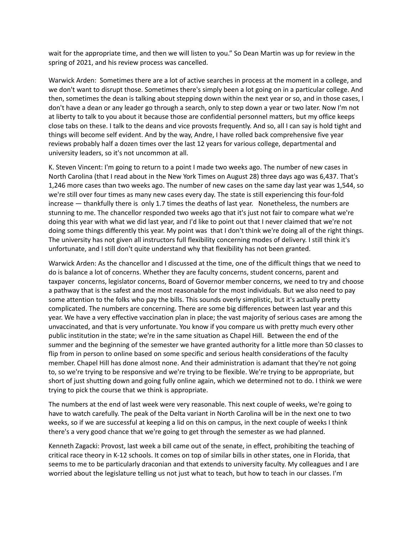wait for the appropriate time, and then we will listen to you." So Dean Martin was up for review in the spring of 2021, and his review process was cancelled.

Warwick Arden: Sometimes there are a lot of active searches in process at the moment in a college, and we don't want to disrupt those. Sometimes there's simply been a lot going on in a particular college. And then, sometimes the dean is talking about stepping down within the next year or so, and in those cases, I don't have a dean or any leader go through a search, only to step down a year or two later. Now I'm not at liberty to talk to you about it because those are confidential personnel matters, but my office keeps close tabs on these. I talk to the deans and vice provosts frequently. And so, all I can say is hold tight and things will become self evident. And by the way, Andre, I have rolled back comprehensive five year reviews probably half a dozen times over the last 12 years for various college, departmental and university leaders, so it's not uncommon at all.

K. Steven Vincent: I'm going to return to a point I made two weeks ago. The number of new cases in North Carolina (that I read about in the New York Times on August 28) three days ago was 6,437. That's 1,246 more cases than two weeks ago. The number of new cases on the same day last year was 1,544, so we're still over four times as many new cases every day. The state is still experiencing this four-fold increase — thankfully there is only 1.7 times the deaths of last year. Nonetheless, the numbers are stunning to me. The chancellor responded two weeks ago that it's just not fair to compare what we're doing this year with what we did last year, and I'd like to point out that I never claimed that we're not doing some things differently this year. My point was that I don't think we're doing all of the right things. The university has not given all instructors full flexibility concerning modes of delivery. I still think it's unfortunate, and I still don't quite understand why that flexibility has not been granted.

Warwick Arden: As the chancellor and I discussed at the time, one of the difficult things that we need to do is balance a lot of concerns. Whether they are faculty concerns, student concerns, parent and taxpayer concerns, legislator concerns, Board of Governor member concerns, we need to try and choose a pathway that is the safest and the most reasonable for the most individuals. But we also need to pay some attention to the folks who pay the bills. This sounds overly simplistic, but it's actually pretty complicated. The numbers are concerning. There are some big differences between last year and this year. We have a very effective vaccination plan in place; the vast majority of serious cases are among the unvaccinated, and that is very unfortunate. You know if you compare us with pretty much every other public institution in the state; we're in the same situation as Chapel Hill. Between the end of the summer and the beginning of the semester we have granted authority for a little more than 50 classes to flip from in person to online based on some specific and serious health considerations of the faculty member. Chapel Hill has done almost none. And their administration is adamant that they're not going to, so we're trying to be responsive and we're trying to be flexible. We're trying to be appropriate, but short of just shutting down and going fully online again, which we determined not to do. I think we were trying to pick the course that we think is appropriate.

The numbers at the end of last week were very reasonable. This next couple of weeks, we're going to have to watch carefully. The peak of the Delta variant in North Carolina will be in the next one to two weeks, so if we are successful at keeping a lid on this on campus, in the next couple of weeks I think there's a very good chance that we're going to get through the semester as we had planned.

Kenneth Zagacki: Provost, last week a bill came out of the senate, in effect, prohibiting the teaching of critical race theory in K-12 schools. It comes on top of similar bills in other states, one in Florida, that seems to me to be particularly draconian and that extends to university faculty. My colleagues and I are worried about the legislature telling us not just what to teach, but how to teach in our classes. I'm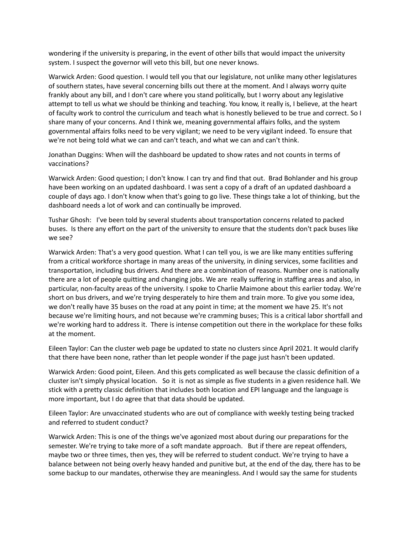wondering if the university is preparing, in the event of other bills that would impact the university system. I suspect the governor will veto this bill, but one never knows.

Warwick Arden: Good question. I would tell you that our legislature, not unlike many other legislatures of southern states, have several concerning bills out there at the moment. And I always worry quite frankly about any bill, and I don't care where you stand politically, but I worry about any legislative attempt to tell us what we should be thinking and teaching. You know, it really is, I believe, at the heart of faculty work to control the curriculum and teach what is honestly believed to be true and correct. So I share many of your concerns. And I think we, meaning governmental affairs folks, and the system governmental affairs folks need to be very vigilant; we need to be very vigilant indeed. To ensure that we're not being told what we can and can't teach, and what we can and can't think.

Jonathan Duggins: When will the dashboard be updated to show rates and not counts in terms of vaccinations?

Warwick Arden: Good question; I don't know. I can try and find that out. Brad Bohlander and his group have been working on an updated dashboard. I was sent a copy of a draft of an updated dashboard a couple of days ago. I don't know when that's going to go live. These things take a lot of thinking, but the dashboard needs a lot of work and can continually be improved.

Tushar Ghosh: I've been told by several students about transportation concerns related to packed buses. Is there any effort on the part of the university to ensure that the students don't pack buses like we see?

Warwick Arden: That's a very good question. What I can tell you, is we are like many entities suffering from a critical workforce shortage in many areas of the university, in dining services, some facilities and transportation, including bus drivers. And there are a combination of reasons. Number one is nationally there are a lot of people quitting and changing jobs. We are really suffering in staffing areas and also, in particular, non-faculty areas of the university. I spoke to Charlie Maimone about this earlier today. We're short on bus drivers, and we're trying desperately to hire them and train more. To give you some idea, we don't really have 35 buses on the road at any point in time; at the moment we have 25. It's not because we're limiting hours, and not because we're cramming buses; This is a critical labor shortfall and we're working hard to address it. There is intense competition out there in the workplace for these folks at the moment.

Eileen Taylor: Can the cluster web page be updated to state no clusters since April 2021. It would clarify that there have been none, rather than let people wonder if the page just hasn't been updated.

Warwick Arden: Good point, Eileen. And this gets complicated as well because the classic definition of a cluster isn't simply physical location. So it is not as simple as five students in a given residence hall. We stick with a pretty classic definition that includes both location and EPI language and the language is more important, but I do agree that that data should be updated.

Eileen Taylor: Are unvaccinated students who are out of compliance with weekly testing being tracked and referred to student conduct?

Warwick Arden: This is one of the things we've agonized most about during our preparations for the semester. We're trying to take more of a soft mandate approach. But if there are repeat offenders, maybe two or three times, then yes, they will be referred to student conduct. We're trying to have a balance between not being overly heavy handed and punitive but, at the end of the day, there has to be some backup to our mandates, otherwise they are meaningless. And I would say the same for students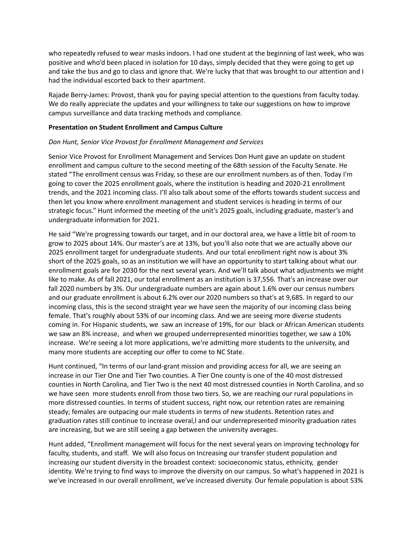who repeatedly refused to wear masks indoors. I had one student at the beginning of last week, who was positive and who'd been placed in isolation for 10 days, simply decided that they were going to get up and take the bus and go to class and ignore that. We're lucky that that was brought to our attention and I had the individual escorted back to their apartment.

Rajade Berry-James: Provost, thank you for paying special attention to the questions from faculty today. We do really appreciate the updates and your willingness to take our suggestions on how to improve campus surveillance and data tracking methods and compliance.

### **Presentation on Student Enrollment and Campus Culture**

### *Don Hunt, Senior Vice Provost for Enrollment Management and Services*

Senior Vice Provost for Enrollment Management and Services Don Hunt gave an update on student enrollment and campus culture to the second meeting of the 68th session of the Faculty Senate. He stated "The enrollment census was Friday, so these are our enrollment numbers as of then. Today I'm going to cover the 2025 enrollment goals, where the institution is heading and 2020-21 enrollment trends, and the 2021 incoming class. I'll also talk about some of the efforts towards student success and then let you know where enrollment management and student services is heading in terms of our strategic focus." Hunt informed the meeting of the unit's 2025 goals, including graduate, master's and undergraduate information for 2021.

He said "We're progressing towards our target, and in our doctoral area, we have a little bit of room to grow to 2025 about 14%. Our master's are at 13%, but you'll also note that we are actually above our 2025 enrollment target for undergraduate students. And our total enrollment right now is about 3% short of the 2025 goals, so as an institution we will have an opportunity to start talking about what our enrollment goals are for 2030 for the next several years. And we'll talk about what adjustments we might like to make. As of fall 2021, our total enrollment as an institution is 37,556. That's an increase over our fall 2020 numbers by 3%. Our undergraduate numbers are again about 1.6% over our census numbers and our graduate enrollment is about 6.2% over our 2020 numbers so that's at 9,685. In regard to our incoming class, this is the second straight year we have seen the majority of our incoming class being female. That's roughly about 53% of our incoming class. And we are seeing more diverse students coming in. For Hispanic students, we saw an increase of 19%, for our black or African American students we saw an 8% increase, and when we grouped underrepresented minorities together, we saw a 10% increase. We're seeing a lot more applications, we're admitting more students to the university, and many more students are accepting our offer to come to NC State.

Hunt continued, "In terms of our land-grant mission and providing access for all, we are seeing an increase in our Tier One and Tier Two counties. A Tier One county is one of the 40 most distressed counties in North Carolina, and Tier Two is the next 40 most distressed counties in North Carolina, and so we have seen more students enroll from those two tiers. So, we are reaching our rural populations in more distressed counties. In terms of student success, right now, our retention rates are remaining steady; females are outpacing our male students in terms of new students. Retention rates and graduation rates still continue to increase overal,l and our underrepresented minority graduation rates are increasing, but we are still seeing a gap between the university averages.

Hunt added, "Enrollment management will focus for the next several years on improving technology for faculty, students, and staff. We will also focus on Increasing our transfer student population and increasing our student diversity in the broadest context: socioeconomic status, ethnicity, gender identity. We're trying to find ways to improve the diversity on our campus. So what's happened in 2021 is we've increased in our overall enrollment, we've increased diversity. Our female population is about 53%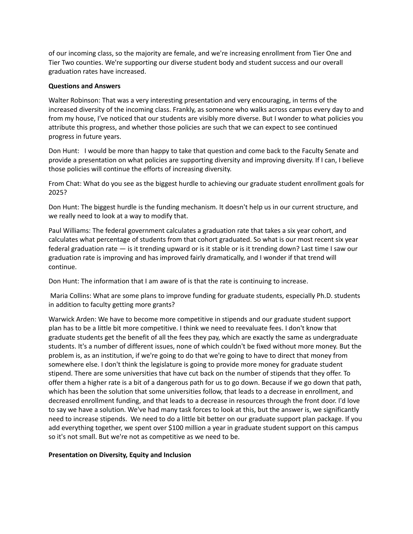of our incoming class, so the majority are female, and we're increasing enrollment from Tier One and Tier Two counties. We're supporting our diverse student body and student success and our overall graduation rates have increased.

### **Questions and Answers**

Walter Robinson: That was a very interesting presentation and very encouraging, in terms of the increased diversity of the incoming class. Frankly, as someone who walks across campus every day to and from my house, I've noticed that our students are visibly more diverse. But I wonder to what policies you attribute this progress, and whether those policies are such that we can expect to see continued progress in future years.

Don Hunt: I would be more than happy to take that question and come back to the Faculty Senate and provide a presentation on what policies are supporting diversity and improving diversity. If I can, I believe those policies will continue the efforts of increasing diversity.

From Chat: What do you see as the biggest hurdle to achieving our graduate student enrollment goals for 2025?

Don Hunt: The biggest hurdle is the funding mechanism. It doesn't help us in our current structure, and we really need to look at a way to modify that.

Paul Williams: The federal government calculates a graduation rate that takes a six year cohort, and calculates what percentage of students from that cohort graduated. So what is our most recent six year federal graduation rate — is it trending upward or is it stable or is it trending down? Last time I saw our graduation rate is improving and has improved fairly dramatically, and I wonder if that trend will continue.

Don Hunt: The information that I am aware of is that the rate is continuing to increase.

Maria Collins: What are some plans to improve funding for graduate students, especially Ph.D. students in addition to faculty getting more grants?

Warwick Arden: We have to become more competitive in stipends and our graduate student support plan has to be a little bit more competitive. I think we need to reevaluate fees. I don't know that graduate students get the benefit of all the fees they pay, which are exactly the same as undergraduate students. It's a number of different issues, none of which couldn't be fixed without more money. But the problem is, as an institution, if we're going to do that we're going to have to direct that money from somewhere else. I don't think the legislature is going to provide more money for graduate student stipend. There are some universities that have cut back on the number of stipends that they offer. To offer them a higher rate is a bit of a dangerous path for us to go down. Because if we go down that path, which has been the solution that some universities follow, that leads to a decrease in enrollment, and decreased enrollment funding, and that leads to a decrease in resources through the front door. I'd love to say we have a solution. We've had many task forces to look at this, but the answer is, we significantly need to increase stipends. We need to do a little bit better on our graduate support plan package. If you add everything together, we spent over \$100 million a year in graduate student support on this campus so it's not small. But we're not as competitive as we need to be.

### **Presentation on Diversity, Equity and Inclusion**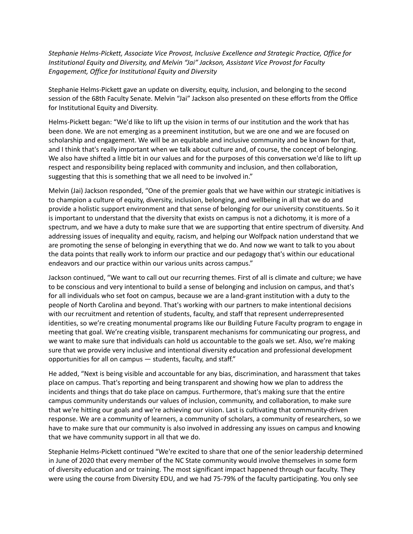*Stephanie Helms-Pickett, Associate Vice Provost, Inclusive Excellence and Strategic Practice, Office for Institutional Equity and Diversity, and Melvin "Jai" Jackson, Assistant Vice Provost for Faculty Engagement, Office for Institutional Equity and Diversity*

Stephanie Helms-Pickett gave an update on diversity, equity, inclusion, and belonging to the second session of the 68th Faculty Senate. Melvin "Jai" Jackson also presented on these efforts from the Office for Institutional Equity and Diversity.

Helms-Pickett began: "We'd like to lift up the vision in terms of our institution and the work that has been done. We are not emerging as a preeminent institution, but we are one and we are focused on scholarship and engagement. We will be an equitable and inclusive community and be known for that, and I think that's really important when we talk about culture and, of course, the concept of belonging. We also have shifted a little bit in our values and for the purposes of this conversation we'd like to lift up respect and responsibility being replaced with community and inclusion, and then collaboration, suggesting that this is something that we all need to be involved in."

Melvin (Jai) Jackson responded, "One of the premier goals that we have within our strategic initiatives is to champion a culture of equity, diversity, inclusion, belonging, and wellbeing in all that we do and provide a holistic support environment and that sense of belonging for our university constituents. So it is important to understand that the diversity that exists on campus is not a dichotomy, it is more of a spectrum, and we have a duty to make sure that we are supporting that entire spectrum of diversity. And addressing issues of inequality and equity, racism, and helping our Wolfpack nation understand that we are promoting the sense of belonging in everything that we do. And now we want to talk to you about the data points that really work to inform our practice and our pedagogy that's within our educational endeavors and our practice within our various units across campus."

Jackson continued, "We want to call out our recurring themes. First of all is climate and culture; we have to be conscious and very intentional to build a sense of belonging and inclusion on campus, and that's for all individuals who set foot on campus, because we are a land-grant institution with a duty to the people of North Carolina and beyond. That's working with our partners to make intentional decisions with our recruitment and retention of students, faculty, and staff that represent underrepresented identities, so we're creating monumental programs like our Building Future Faculty program to engage in meeting that goal. We're creating visible, transparent mechanisms for communicating our progress, and we want to make sure that individuals can hold us accountable to the goals we set. Also, we're making sure that we provide very inclusive and intentional diversity education and professional development opportunities for all on campus — students, faculty, and staff."

He added, "Next is being visible and accountable for any bias, discrimination, and harassment that takes place on campus. That's reporting and being transparent and showing how we plan to address the incidents and things that do take place on campus. Furthermore, that's making sure that the entire campus community understands our values of inclusion, community, and collaboration, to make sure that we're hitting our goals and we're achieving our vision. Last is cultivating that community-driven response. We are a community of learners, a community of scholars, a community of researchers, so we have to make sure that our community is also involved in addressing any issues on campus and knowing that we have community support in all that we do.

Stephanie Helms-Pickett continued "We're excited to share that one of the senior leadership determined in June of 2020 that every member of the NC State community would involve themselves in some form of diversity education and or training. The most significant impact happened through our faculty. They were using the course from Diversity EDU, and we had 75-79% of the faculty participating. You only see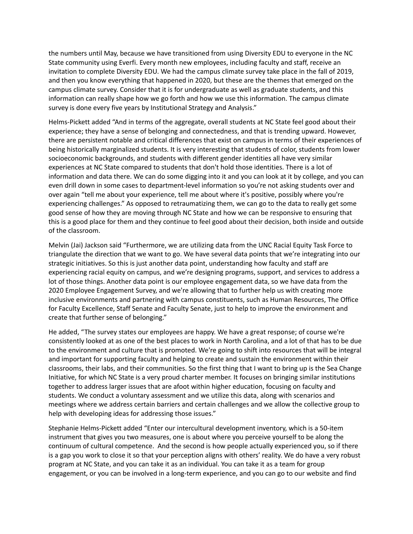the numbers until May, because we have transitioned from using Diversity EDU to everyone in the NC State community using Everfi. Every month new employees, including faculty and staff, receive an invitation to complete Diversity EDU. We had the campus climate survey take place in the fall of 2019, and then you know everything that happened in 2020, but these are the themes that emerged on the campus climate survey. Consider that it is for undergraduate as well as graduate students, and this information can really shape how we go forth and how we use this information. The campus climate survey is done every five years by Institutional Strategy and Analysis."

Helms-Pickett added "And in terms of the aggregate, overall students at NC State feel good about their experience; they have a sense of belonging and connectedness, and that is trending upward. However, there are persistent notable and critical differences that exist on campus in terms of their experiences of being historically marginalized students. It is very interesting that students of color, students from lower socioeconomic backgrounds, and students with different gender identities all have very similar experiences at NC State compared to students that don't hold those identities. There is a lot of information and data there. We can do some digging into it and you can look at it by college, and you can even drill down in some cases to department-level information so you're not asking students over and over again "tell me about your experience, tell me about where it's positive, possibly where you're experiencing challenges." As opposed to retraumatizing them, we can go to the data to really get some good sense of how they are moving through NC State and how we can be responsive to ensuring that this is a good place for them and they continue to feel good about their decision, both inside and outside of the classroom.

Melvin (Jai) Jackson said "Furthermore, we are utilizing data from the UNC Racial Equity Task Force to triangulate the direction that we want to go. We have several data points that we're integrating into our strategic initiatives. So this is just another data point, understanding how faculty and staff are experiencing racial equity on campus, and we're designing programs, support, and services to address a lot of those things. Another data point is our employee engagement data, so we have data from the 2020 Employee Engagement Survey, and we're allowing that to further help us with creating more inclusive environments and partnering with campus constituents, such as Human Resources, The Office for Faculty Excellence, Staff Senate and Faculty Senate, just to help to improve the environment and create that further sense of belonging."

He added, "The survey states our employees are happy. We have a great response; of course we're consistently looked at as one of the best places to work in North Carolina, and a lot of that has to be due to the environment and culture that is promoted. We're going to shift into resources that will be integral and important for supporting faculty and helping to create and sustain the environment within their classrooms, their labs, and their communities. So the first thing that I want to bring up is the Sea Change Initiative, for which NC State is a very proud charter member. It focuses on bringing similar institutions together to address larger issues that are afoot within higher education, focusing on faculty and students. We conduct a voluntary assessment and we utilize this data, along with scenarios and meetings where we address certain barriers and certain challenges and we allow the collective group to help with developing ideas for addressing those issues."

Stephanie Helms-Pickett added "Enter our intercultural development inventory, which is a 50-item instrument that gives you two measures, one is about where you perceive yourself to be along the continuum of cultural competence. And the second is how people actually experienced you, so if there is a gap you work to close it so that your perception aligns with others' reality. We do have a very robust program at NC State, and you can take it as an individual. You can take it as a team for group engagement, or you can be involved in a long-term experience, and you can go to our website and find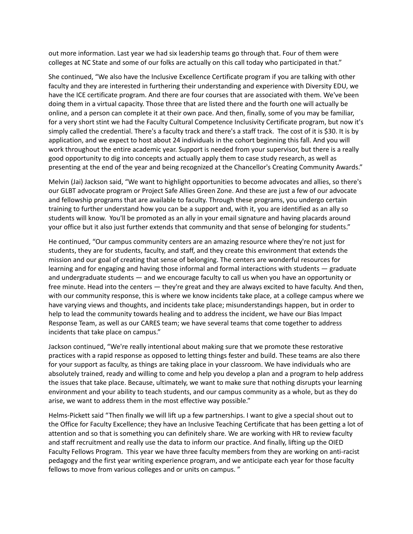out more information. Last year we had six leadership teams go through that. Four of them were colleges at NC State and some of our folks are actually on this call today who participated in that."

She continued, "We also have the Inclusive Excellence Certificate program if you are talking with other faculty and they are interested in furthering their understanding and experience with Diversity EDU, we have the ICE certificate program. And there are four courses that are associated with them. We've been doing them in a virtual capacity. Those three that are listed there and the fourth one will actually be online, and a person can complete it at their own pace. And then, finally, some of you may be familiar, for a very short stint we had the Faculty Cultural Competence Inclusivity Certificate program, but now it's simply called the credential. There's a faculty track and there's a staff track. The cost of it is \$30. It is by application, and we expect to host about 24 individuals in the cohort beginning this fall. And you will work throughout the entire academic year. Support is needed from your supervisor, but there is a really good opportunity to dig into concepts and actually apply them to case study research, as well as presenting at the end of the year and being recognized at the Chancellor's Creating Community Awards."

Melvin (Jai) Jackson said, "We want to highlight opportunities to become advocates and allies, so there's our GLBT advocate program or Project Safe Allies Green Zone. And these are just a few of our advocate and fellowship programs that are available to faculty. Through these programs, you undergo certain training to further understand how you can be a support and, with it, you are identified as an ally so students will know. You'll be promoted as an ally in your email signature and having placards around your office but it also just further extends that community and that sense of belonging for students."

He continued, "Our campus community centers are an amazing resource where they're not just for students, they are for students, faculty, and staff, and they create this environment that extends the mission and our goal of creating that sense of belonging. The centers are wonderful resources for learning and for engaging and having those informal and formal interactions with students — graduate and undergraduate students — and we encourage faculty to call us when you have an opportunity or free minute. Head into the centers — they're great and they are always excited to have faculty. And then, with our community response, this is where we know incidents take place, at a college campus where we have varying views and thoughts, and incidents take place; misunderstandings happen, but in order to help to lead the community towards healing and to address the incident, we have our Bias Impact Response Team, as well as our CARES team; we have several teams that come together to address incidents that take place on campus."

Jackson continued, "We're really intentional about making sure that we promote these restorative practices with a rapid response as opposed to letting things fester and build. These teams are also there for your support as faculty, as things are taking place in your classroom. We have individuals who are absolutely trained, ready and willing to come and help you develop a plan and a program to help address the issues that take place. Because, ultimately, we want to make sure that nothing disrupts your learning environment and your ability to teach students, and our campus community as a whole, but as they do arise, we want to address them in the most effective way possible."

Helms-Pickett said "Then finally we will lift up a few partnerships. I want to give a special shout out to the Office for Faculty Excellence; they have an Inclusive Teaching Certificate that has been getting a lot of attention and so that is something you can definitely share. We are working with HR to review faculty and staff recruitment and really use the data to inform our practice. And finally, lifting up the OIED Faculty Fellows Program. This year we have three faculty members from they are working on anti-racist pedagogy and the first year writing experience program, and we anticipate each year for those faculty fellows to move from various colleges and or units on campus. "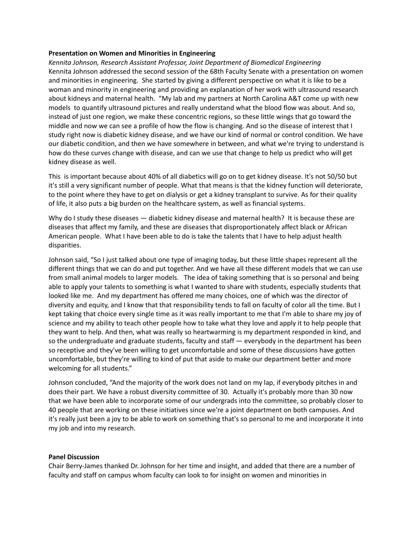### **Presentation on Women and Minorities in Engineering**

*Kennita Johnson, Research Assistant Professor, Joint Department of Biomedical Engineering* Kennita Johnson addressed the second session of the 68th Faculty Senate with a presentation on women and minorities in engineering. She started by giving a different perspective on what it is like to be a woman and minority in engineering and providing an explanation of her work with ultrasound research about kidneys and maternal health. "My lab and my partners at North Carolina A&T come up with new models to quantify ultrasound pictures and really understand what the blood flow was about. And so, instead of just one region, we make these concentric regions, so these little wings that go toward the middle and now we can see a profile of how the flow is changing. And so the disease of interest that I study right now is diabetic kidney disease, and we have our kind of normal or control condition. We have our diabetic condition, and then we have somewhere in between, and what we're trying to understand is how do these curves change with disease, and can we use that change to help us predict who will get kidney disease as well.

This is important because about 40% of all diabetics will go on to get kidney disease. It's not 50/50 but it's still a very significant number of people. What that means is that the kidney function will deteriorate, to the point where they have to get on dialysis or get a kidney transplant to survive. As for their quality of life, it also puts a big burden on the healthcare system, as well as financial systems.

Why do I study these diseases — diabetic kidney disease and maternal health? It is because these are diseases that affect my family, and these are diseases that disproportionately affect black or African American people. What I have been able to do is take the talents that I have to help adjust health disparities.

Johnson said, "So I just talked about one type of imaging today, but these little shapes represent all the different things that we can do and put together. And we have all these different models that we can use from small animal models to larger models. The idea of taking something that is so personal and being able to apply your talents to something is what I wanted to share with students, especially students that looked like me. And my department has offered me many choices, one of which was the director of diversity and equity, and I know that that responsibility tends to fall on faculty of color all the time. But I kept taking that choice every single time as it was really important to me that I'm able to share my joy of science and my ability to teach other people how to take what they love and apply it to help people that they want to help. And then, what was really so heartwarming is my department responded in kind, and so the undergraduate and graduate students, faculty and staff — everybody in the department has been so receptive and they've been willing to get uncomfortable and some of these discussions have gotten uncomfortable, but they're willing to kind of put that aside to make our department better and more welcoming for all students."

Johnson concluded, "And the majority of the work does not land on my lap, if everybody pitches in and does their part. We have a robust diversity committee of 30. Actually it's probably more than 30 now that we have been able to incorporate some of our undergrads into the committee, so probably closer to 40 people that are working on these initiatives since we're a joint department on both campuses. And it's really just been a joy to be able to work on something that's so personal to me and incorporate it into my job and into my research.

#### **Panel Discussion**

Chair Berry-James thanked Dr. Johnson for her time and insight, and added that there are a number of faculty and staff on campus whom faculty can look to for insight on women and minorities in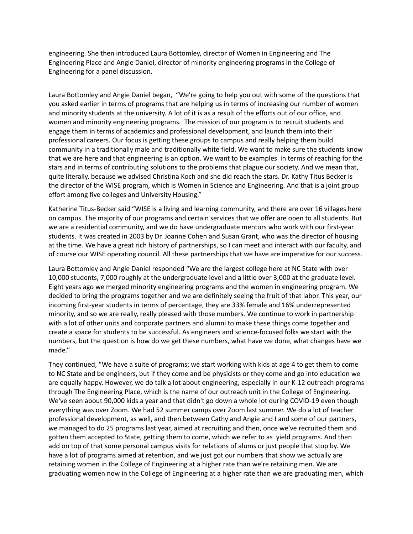engineering. She then introduced Laura Bottomley, director of Women in Engineering and The Engineering Place and Angie Daniel, director of minority engineering programs in the College of Engineering for a panel discussion.

Laura Bottomley and Angie Daniel began, "We're going to help you out with some of the questions that you asked earlier in terms of programs that are helping us in terms of increasing our number of women and minority students at the university. A lot of it is as a result of the efforts out of our office, and women and minority engineering programs. The mission of our program is to recruit students and engage them in terms of academics and professional development, and launch them into their professional careers. Our focus is getting these groups to campus and really helping them build community in a traditionally male and traditionally white field. We want to make sure the students know that we are here and that engineering is an option. We want to be examples in terms of reaching for the stars and in terms of contributing solutions to the problems that plague our society. And we mean that, quite literally, because we advised Christina Koch and she did reach the stars. Dr. Kathy Titus Becker is the director of the WISE program, which is Women in Science and Engineering. And that is a joint group effort among five colleges and University Housing."

Katherine Titus-Becker said "WISE is a living and learning community, and there are over 16 villages here on campus. The majority of our programs and certain services that we offer are open to all students. But we are a residential community, and we do have undergraduate mentors who work with our first-year students. It was created in 2003 by Dr. Joanne Cohen and Susan Grant, who was the director of housing at the time. We have a great rich history of partnerships, so I can meet and interact with our faculty, and of course our WISE operating council. All these partnerships that we have are imperative for our success.

Laura Bottomley and Angie Daniel responded "We are the largest college here at NC State with over 10,000 students, 7,000 roughly at the undergraduate level and a little over 3,000 at the graduate level. Eight years ago we merged minority engineering programs and the women in engineering program. We decided to bring the programs together and we are definitely seeing the fruit of that labor. This year, our incoming first-year students in terms of percentage, they are 33% female and 16% underrepresented minority, and so we are really, really pleased with those numbers. We continue to work in partnership with a lot of other units and corporate partners and alumni to make these things come together and create a space for students to be successful. As engineers and science-focused folks we start with the numbers, but the question is how do we get these numbers, what have we done, what changes have we made."

They continued, "We have a suite of programs; we start working with kids at age 4 to get them to come to NC State and be engineers, but if they come and be physicists or they come and go into education we are equally happy. However, we do talk a lot about engineering, especially in our K-12 outreach programs through The Engineering Place, which is the name of our outreach unit in the College of Engineering. We've seen about 90,000 kids a year and that didn't go down a whole lot during COVID-19 even though everything was over Zoom. We had 52 summer camps over Zoom last summer. We do a lot of teacher professional development, as well, and then between Cathy and Angie and I and some of our partners, we managed to do 25 programs last year, aimed at recruiting and then, once we've recruited them and gotten them accepted to State, getting them to come, which we refer to as yield programs. And then add on top of that some personal campus visits for relations of alums or just people that stop by. We have a lot of programs aimed at retention, and we just got our numbers that show we actually are retaining women in the College of Engineering at a higher rate than we're retaining men. We are graduating women now in the College of Engineering at a higher rate than we are graduating men, which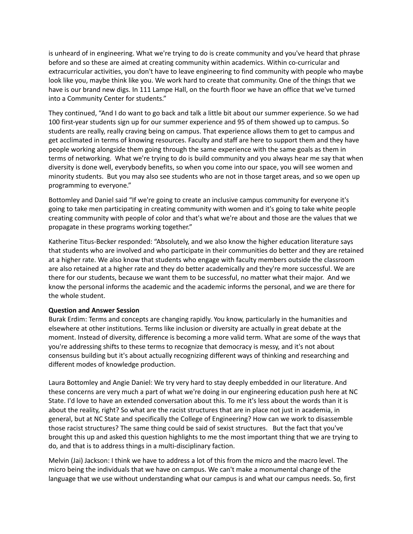is unheard of in engineering. What we're trying to do is create community and you've heard that phrase before and so these are aimed at creating community within academics. Within co-curricular and extracurricular activities, you don't have to leave engineering to find community with people who maybe look like you, maybe think like you. We work hard to create that community. One of the things that we have is our brand new digs. In 111 Lampe Hall, on the fourth floor we have an office that we've turned into a Community Center for students."

They continued, "And I do want to go back and talk a little bit about our summer experience. So we had 100 first-year students sign up for our summer experience and 95 of them showed up to campus. So students are really, really craving being on campus. That experience allows them to get to campus and get acclimated in terms of knowing resources. Faculty and staff are here to support them and they have people working alongside them going through the same experience with the same goals as them in terms of networking. What we're trying to do is build community and you always hear me say that when diversity is done well, everybody benefits, so when you come into our space, you will see women and minority students. But you may also see students who are not in those target areas, and so we open up programming to everyone."

Bottomley and Daniel said "If we're going to create an inclusive campus community for everyone it's going to take men participating in creating community with women and it's going to take white people creating community with people of color and that's what we're about and those are the values that we propagate in these programs working together."

Katherine Titus-Becker responded: "Absolutely, and we also know the higher education literature says that students who are involved and who participate in their communities do better and they are retained at a higher rate. We also know that students who engage with faculty members outside the classroom are also retained at a higher rate and they do better academically and they're more successful. We are there for our students, because we want them to be successful, no matter what their major. And we know the personal informs the academic and the academic informs the personal, and we are there for the whole student.

# **Question and Answer Session**

Burak Erdim: Terms and concepts are changing rapidly. You know, particularly in the humanities and elsewhere at other institutions. Terms like inclusion or diversity are actually in great debate at the moment. Instead of diversity, difference is becoming a more valid term. What are some of the ways that you're addressing shifts to these terms to recognize that democracy is messy, and it's not about consensus building but it's about actually recognizing different ways of thinking and researching and different modes of knowledge production.

Laura Bottomley and Angie Daniel: We try very hard to stay deeply embedded in our literature. And these concerns are very much a part of what we're doing in our engineering education push here at NC State. I'd love to have an extended conversation about this. To me it's less about the words than it is about the reality, right? So what are the racist structures that are in place not just in academia, in general, but at NC State and specifically the College of Engineering? How can we work to disassemble those racist structures? The same thing could be said of sexist structures. But the fact that you've brought this up and asked this question highlights to me the most important thing that we are trying to do, and that is to address things in a multi-disciplinary faction.

Melvin (Jai) Jackson: I think we have to address a lot of this from the micro and the macro level. The micro being the individuals that we have on campus. We can't make a monumental change of the language that we use without understanding what our campus is and what our campus needs. So, first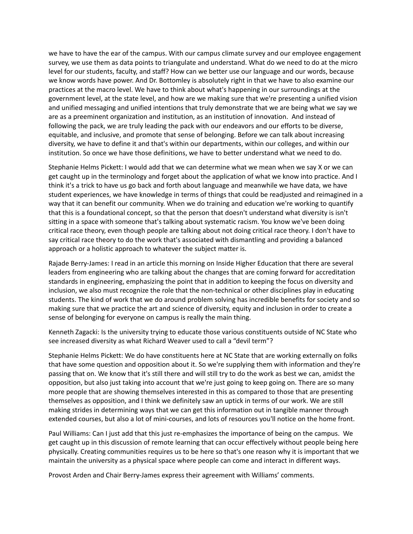we have to have the ear of the campus. With our campus climate survey and our employee engagement survey, we use them as data points to triangulate and understand. What do we need to do at the micro level for our students, faculty, and staff? How can we better use our language and our words, because we know words have power. And Dr. Bottomley is absolutely right in that we have to also examine our practices at the macro level. We have to think about what's happening in our surroundings at the government level, at the state level, and how are we making sure that we're presenting a unified vision and unified messaging and unified intentions that truly demonstrate that we are being what we say we are as a preeminent organization and institution, as an institution of innovation. And instead of following the pack, we are truly leading the pack with our endeavors and our efforts to be diverse, equitable, and inclusive, and promote that sense of belonging. Before we can talk about increasing diversity, we have to define it and that's within our departments, within our colleges, and within our institution. So once we have those definitions, we have to better understand what we need to do.

Stephanie Helms Pickett: I would add that we can determine what we mean when we say X or we can get caught up in the terminology and forget about the application of what we know into practice. And I think it's a trick to have us go back and forth about language and meanwhile we have data, we have student experiences, we have knowledge in terms of things that could be readjusted and reimagined in a way that it can benefit our community. When we do training and education we're working to quantify that this is a foundational concept, so that the person that doesn't understand what diversity is isn't sitting in a space with someone that's talking about systematic racism. You know we've been doing critical race theory, even though people are talking about not doing critical race theory. I don't have to say critical race theory to do the work that's associated with dismantling and providing a balanced approach or a holistic approach to whatever the subject matter is.

Rajade Berry-James: I read in an article this morning on Inside Higher Education that there are several leaders from engineering who are talking about the changes that are coming forward for accreditation standards in engineering, emphasizing the point that in addition to keeping the focus on diversity and inclusion, we also must recognize the role that the non-technical or other disciplines play in educating students. The kind of work that we do around problem solving has incredible benefits for society and so making sure that we practice the art and science of diversity, equity and inclusion in order to create a sense of belonging for everyone on campus is really the main thing.

Kenneth Zagacki: Is the university trying to educate those various constituents outside of NC State who see increased diversity as what Richard Weaver used to call a "devil term"?

Stephanie Helms Pickett: We do have constituents here at NC State that are working externally on folks that have some question and opposition about it. So we're supplying them with information and they're passing that on. We know that it's still there and will still try to do the work as best we can, amidst the opposition, but also just taking into account that we're just going to keep going on. There are so many more people that are showing themselves interested in this as compared to those that are presenting themselves as opposition, and I think we definitely saw an uptick in terms of our work. We are still making strides in determining ways that we can get this information out in tangible manner through extended courses, but also a lot of mini-courses, and lots of resources you'll notice on the home front.

Paul Williams: Can I just add that this just re-emphasizes the importance of being on the campus. We get caught up in this discussion of remote learning that can occur effectively without people being here physically. Creating communities requires us to be here so that's one reason why it is important that we maintain the university as a physical space where people can come and interact in different ways.

Provost Arden and Chair Berry-James express their agreement with Williams' comments.